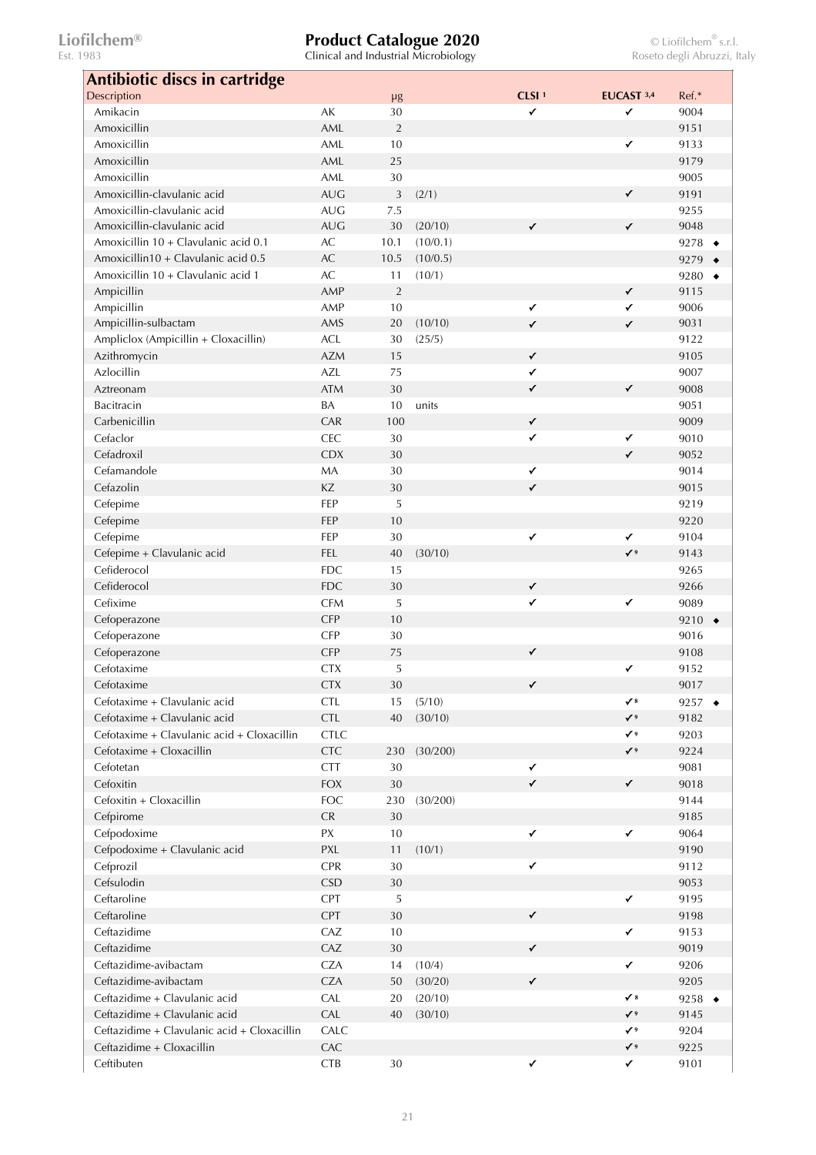| <b>Antibiotic discs in cartridge</b>                                        |                          |                |                    |                   |                           |                            |
|-----------------------------------------------------------------------------|--------------------------|----------------|--------------------|-------------------|---------------------------|----------------------------|
| Description                                                                 |                          | μg             |                    | CLSI <sup>1</sup> | EUCAST 3,4                | Ref.*                      |
| Amikacin                                                                    | AK                       | 30             |                    | ✓                 | ✓                         | 9004                       |
| Amoxicillin                                                                 | AML                      | $\overline{2}$ |                    |                   |                           | 9151                       |
| Amoxicillin                                                                 | AML                      | 10             |                    |                   | $\checkmark$              | 9133                       |
| Amoxicillin                                                                 | AML                      | 25             |                    |                   |                           | 9179                       |
| Amoxicillin                                                                 | AML                      | 30             |                    |                   |                           | 9005                       |
| Amoxicillin-clavulanic acid                                                 | <b>AUG</b>               | 3              | (2/1)              |                   | $\checkmark$              | 9191                       |
| Amoxicillin-clavulanic acid                                                 | <b>AUG</b>               | 7.5            |                    |                   |                           | 9255                       |
| Amoxicillin-clavulanic acid                                                 | <b>AUG</b>               | 30             | (20/10)            | $\checkmark$      | $\checkmark$              | 9048                       |
| Amoxicillin 10 + Clavulanic acid 0.1<br>Amoxicillin10 + Clavulanic acid 0.5 | $\mathsf{AC}$            | 10.1           | (10/0.1)           |                   |                           | 9278 $\rightarrow$         |
| Amoxicillin 10 + Clavulanic acid 1                                          | $\mathsf{AC}$<br>AC      | 10.5<br>11     | (10/0.5)<br>(10/1) |                   |                           | 9279                       |
| Ampicillin                                                                  | AMP                      | 2              |                    |                   | ✓                         | 9280 $\rightarrow$<br>9115 |
| Ampicillin                                                                  | AMP                      | 10             |                    | $\checkmark$      | ✓                         | 9006                       |
| Ampicillin-sulbactam                                                        | AMS                      | 20             | (10/10)            | $\checkmark$      | ✓                         | 9031                       |
| Ampliclox (Ampicillin + Cloxacillin)                                        | <b>ACL</b>               | 30             | (25/5)             |                   |                           | 9122                       |
| Azithromycin                                                                | <b>AZM</b>               | 15             |                    | $\checkmark$      |                           | 9105                       |
| Azlocillin                                                                  | AZL                      | 75             |                    | $\checkmark$      |                           | 9007                       |
| Aztreonam                                                                   | <b>ATM</b>               | 30             |                    | $\checkmark$      | $\checkmark$              | 9008                       |
| <b>Bacitracin</b>                                                           | BA                       | 10             | units              |                   |                           | 9051                       |
| Carbenicillin                                                               | CAR                      | 100            |                    | $\checkmark$      |                           | 9009                       |
| Cefaclor                                                                    | CEC                      | 30             |                    | ✓                 | $\checkmark$              | 9010                       |
| Cefadroxil                                                                  | <b>CDX</b>               | 30             |                    |                   | $\checkmark$              | 9052                       |
| Cefamandole                                                                 | MA                       | 30             |                    | $\checkmark$      |                           | 9014                       |
| Cefazolin                                                                   | KZ                       | 30             |                    | $\checkmark$      |                           | 9015                       |
| Cefepime                                                                    | FEP                      | 5              |                    |                   |                           | 9219                       |
| Cefepime                                                                    | FEP                      | 10             |                    |                   |                           | 9220                       |
| Cefepime                                                                    | FEP                      | 30             |                    | $\checkmark$      | ✓                         | 9104                       |
| Cefepime + Clavulanic acid                                                  | FEL                      | 40             | (30/10)            |                   | $\checkmark$ <sup>9</sup> | 9143                       |
| Cefiderocol                                                                 | <b>FDC</b>               | 15             |                    |                   |                           | 9265                       |
| Cefiderocol                                                                 | <b>FDC</b>               | 30             |                    | $\checkmark$      |                           | 9266                       |
| Cefixime                                                                    | <b>CFM</b>               | 5              |                    | $\checkmark$      | $\checkmark$              | 9089                       |
| Cefoperazone                                                                | <b>CFP</b>               | 10             |                    |                   |                           | 9210 $\rightarrow$         |
| Cefoperazone                                                                | CFP                      | 30             |                    |                   |                           | 9016                       |
| Cefoperazone                                                                | <b>CFP</b>               | 75             |                    | $\checkmark$      |                           | 9108                       |
| Cefotaxime                                                                  | <b>CTX</b>               | 5              |                    |                   | ✓                         | 9152                       |
| Cefotaxime                                                                  | <b>CTX</b>               | 30             |                    |                   |                           | 9017                       |
| Cefotaxime + Clavulanic acid<br>Cefotaxime + Clavulanic acid                | <b>CTL</b><br><b>CTL</b> | 15             | (5/10)             |                   | $\checkmark$              | 9257 $\bullet$             |
| Cefotaxime + Clavulanic acid + Cloxacillin                                  | <b>CTLC</b>              | 40             | (30/10)            |                   | ✔<br>$\checkmark$         | 9182<br>9203               |
| Cefotaxime + Cloxacillin                                                    | <b>CTC</b>               | 230            | (30/200)           |                   | $\checkmark$              | 9224                       |
| Cefotetan                                                                   | <b>CTT</b>               | 30             |                    | $\checkmark$      |                           | 9081                       |
| Cefoxitin                                                                   | <b>FOX</b>               | 30             |                    | $\checkmark$      | $\checkmark$              | 9018                       |
| Cefoxitin + Cloxacillin                                                     | <b>FOC</b>               | 230            | (30/200)           |                   |                           | 9144                       |
| Cefpirome                                                                   | CR                       | 30             |                    |                   |                           | 9185                       |
| Cefpodoxime                                                                 | PX                       | 10             |                    | $\checkmark$      | $\checkmark$              | 9064                       |
| Cefpodoxime + Clavulanic acid                                               | PXL                      | 11             | (10/1)             |                   |                           | 9190                       |
| Cefprozil                                                                   | CPR                      | 30             |                    | $\checkmark$      |                           | 9112                       |
| Cefsulodin                                                                  | <b>CSD</b>               | 30             |                    |                   |                           | 9053                       |
| Ceftaroline                                                                 | CPT                      | 5              |                    |                   | $\checkmark$              | 9195                       |
| Ceftaroline                                                                 | CPT                      | 30             |                    | $\checkmark$      |                           | 9198                       |
| Ceftazidime                                                                 | CAZ                      | $10\,$         |                    |                   | $\checkmark$              | 9153                       |
| Ceftazidime                                                                 | CAZ                      | 30             |                    | $\checkmark$      |                           | 9019                       |
| Ceftazidime-avibactam                                                       | <b>CZA</b>               | 14             | (10/4)             |                   | $\checkmark$              | 9206                       |
| Ceftazidime-avibactam                                                       | <b>CZA</b>               | 50             | (30/20)            | $\checkmark$      |                           | 9205                       |
| Ceftazidime + Clavulanic acid                                               | CAL                      | 20             | (20/10)            |                   | $\checkmark$ 8            | 9258 $\rightarrow$         |
| Ceftazidime + Clavulanic acid                                               | CAL                      | 40             | (30/10)            |                   | ✔                         | 9145                       |
| Ceftazidime + Clavulanic acid + Cloxacillin                                 | CALC                     |                |                    |                   | ✔。                        | 9204                       |
| Ceftazidime + Cloxacillin                                                   | CAC                      |                |                    |                   | $\checkmark$              | 9225                       |
| Ceftibuten                                                                  | CTB                      | $30\,$         |                    | $\checkmark$      | $\checkmark$              | 9101                       |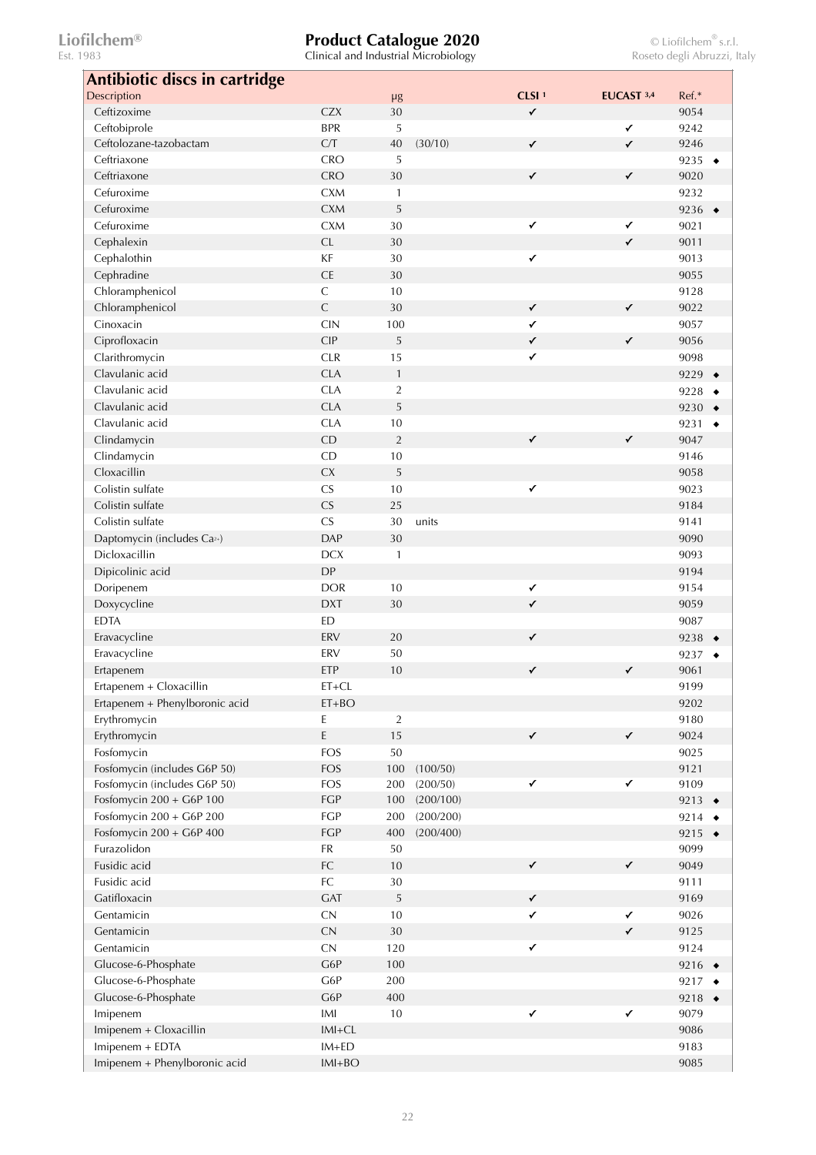| Antibiotic discs in cartridge           |                |                |           |                   |              |                    |           |
|-----------------------------------------|----------------|----------------|-----------|-------------------|--------------|--------------------|-----------|
| Description                             |                | $\mu$ g        |           | CLSI <sup>1</sup> | EUCAST 3,4   | Ref.*              |           |
| Ceftizoxime                             | <b>CZX</b>     | 30             |           | $\checkmark$      |              | 9054               |           |
| Ceftobiprole                            | <b>BPR</b>     | 5              |           |                   | $\checkmark$ | 9242               |           |
| Ceftolozane-tazobactam                  | C/T            | 40             | (30/10)   | $\checkmark$      | $\checkmark$ | 9246               |           |
| Ceftriaxone                             | <b>CRO</b>     | 5              |           |                   |              | 9235 $\rightarrow$ |           |
| Ceftriaxone                             | <b>CRO</b>     | 30             |           | $\checkmark$      | $\checkmark$ | 9020               |           |
| Cefuroxime                              | <b>CXM</b>     | 1              |           |                   |              | 9232               |           |
| Cefuroxime                              | <b>CXM</b>     | 5              |           |                   |              | 9236 $\rightarrow$ |           |
| Cefuroxime                              | <b>CXM</b>     | 30             |           | $\checkmark$      | ✓            | 9021               |           |
| Cephalexin                              | CL             | 30             |           |                   | $\checkmark$ | 9011               |           |
| Cephalothin                             | KF             | 30             |           | $\checkmark$      |              | 9013               |           |
| Cephradine                              | CE             | 30             |           |                   |              | 9055               |           |
| Chloramphenicol                         | $\mathsf C$    | 10             |           |                   |              | 9128               |           |
| Chloramphenicol                         | $\mathsf{C}$   | 30             |           | $\checkmark$      | $\checkmark$ | 9022               |           |
| Cinoxacin                               | <b>CIN</b>     | 100            |           | ✓                 |              | 9057               |           |
| Ciprofloxacin                           | <b>CIP</b>     | 5              |           | $\checkmark$      | $\checkmark$ | 9056               |           |
| Clarithromycin                          | <b>CLR</b>     | 15             |           | $\checkmark$      |              | 9098               |           |
| Clavulanic acid                         | <b>CLA</b>     | $\mathbf{1}$   |           |                   |              | 9229 $\rightarrow$ |           |
| Clavulanic acid                         | <b>CLA</b>     | $\overline{2}$ |           |                   |              | 9228 $\rightarrow$ |           |
| Clavulanic acid                         | <b>CLA</b>     | 5              |           |                   |              | 9230 $\rightarrow$ |           |
| Clavulanic acid                         | <b>CLA</b>     | 10             |           |                   |              | 9231               | $\bullet$ |
| Clindamycin                             | CD             | $\overline{2}$ |           | $\checkmark$      | $\checkmark$ | 9047               |           |
| Clindamycin                             | CD             | 10             |           |                   |              | 9146               |           |
| Cloxacillin                             |                |                |           |                   |              |                    |           |
|                                         | <b>CX</b>      | 5              |           |                   |              | 9058               |           |
| Colistin sulfate                        | <b>CS</b>      | 10             |           | $\checkmark$      |              | 9023               |           |
| Colistin sulfate                        | CS             | 25             |           |                   |              | 9184               |           |
| Colistin sulfate                        | CS             | 30             | units     |                   |              | 9141               |           |
| Daptomycin (includes Ca <sup>2+</sup> ) | <b>DAP</b>     | 30             |           |                   |              | 9090               |           |
| Dicloxacillin                           | <b>DCX</b>     | $\mathbf{1}$   |           |                   |              | 9093               |           |
| Dipicolinic acid                        | <b>DP</b>      |                |           |                   |              | 9194               |           |
| Doripenem                               | <b>DOR</b>     | 10             |           | $\checkmark$      |              | 9154               |           |
| Doxycycline                             | <b>DXT</b>     | 30             |           | $\checkmark$      |              | 9059               |           |
| <b>EDTA</b>                             | <b>ED</b>      |                |           |                   |              | 9087               |           |
| Eravacycline                            | ERV            | 20             |           | $\checkmark$      |              | 9238 $\bullet$     |           |
| Eravacycline                            | ERV            | 50             |           |                   |              | 9237 $\rightarrow$ |           |
| Ertapenem                               | ETP            | 10             |           | $\checkmark$      | ✓            | 9061               |           |
| Ertapenem + Cloxacillin                 | $ET+CL$        |                |           |                   |              | 9199               |           |
| Ertapenem + Phenylboronic acid          | $ET+BO$        |                |           |                   |              | 9202               |           |
| Erythromycin                            | E              | $\sqrt{2}$     |           |                   |              | 9180               |           |
| Erythromycin                            | $\mathsf E$    | 15             |           | $\checkmark$      | $\checkmark$ | 9024               |           |
| Fosfomycin                              | <b>FOS</b>     | 50             |           |                   |              | 9025               |           |
| Fosfomycin (includes G6P 50)            | <b>FOS</b>     | 100            | (100/50)  |                   |              | 9121               |           |
| Fosfomycin (includes G6P 50)            | <b>FOS</b>     | 200            | (200/50)  | $\checkmark$      | $\checkmark$ | 9109               |           |
| Fosfomycin 200 + G6P 100                | FGP            | 100            | (200/100) |                   |              | 9213 $\rightarrow$ |           |
| Fosfomycin 200 + G6P 200                | FGP            | 200            | (200/200) |                   |              | 9214 $\rightarrow$ |           |
| Fosfomycin 200 + G6P 400                | FGP            | 400            | (200/400) |                   |              | 9215 $\bullet$     |           |
| Furazolidon                             | FR             | 50             |           |                   |              | 9099               |           |
| Fusidic acid                            | ${\sf FC}$     | 10             |           | $\checkmark$      | $\checkmark$ | 9049               |           |
| Fusidic acid                            | ${\sf FC}$     | $30\,$         |           |                   |              | 9111               |           |
| Gatifloxacin                            | <b>GAT</b>     | 5              |           | $\checkmark$      |              | 9169               |           |
| Gentamicin                              | ${\sf CN}$     | 10             |           | $\checkmark$      | $\checkmark$ | 9026               |           |
| Gentamicin                              | ${\sf CN}$     | $30\,$         |           |                   | $\checkmark$ | 9125               |           |
| Gentamicin                              | ${\sf CN}$     | 120            |           | ✓                 |              | 9124               |           |
| Glucose-6-Phosphate                     | G6P            | 100            |           |                   |              | 9216 $\rightarrow$ |           |
| Glucose-6-Phosphate                     | G6P            | 200            |           |                   |              | 9217 $\rightarrow$ |           |
| Glucose-6-Phosphate                     | G6P            | 400            |           |                   |              | 9218 $\bullet$     |           |
| Imipenem                                | $\mathsf{IMI}$ | $10\,$         |           | $\checkmark$      | $\checkmark$ | 9079               |           |
| Imipenem + Cloxacillin                  | $IMI + CL$     |                |           |                   |              | 9086               |           |
| Imipenem + EDTA                         | $IM+ED$        |                |           |                   |              | 9183               |           |
| Imipenem + Phenylboronic acid           | $IMH+BO$       |                |           |                   |              | 9085               |           |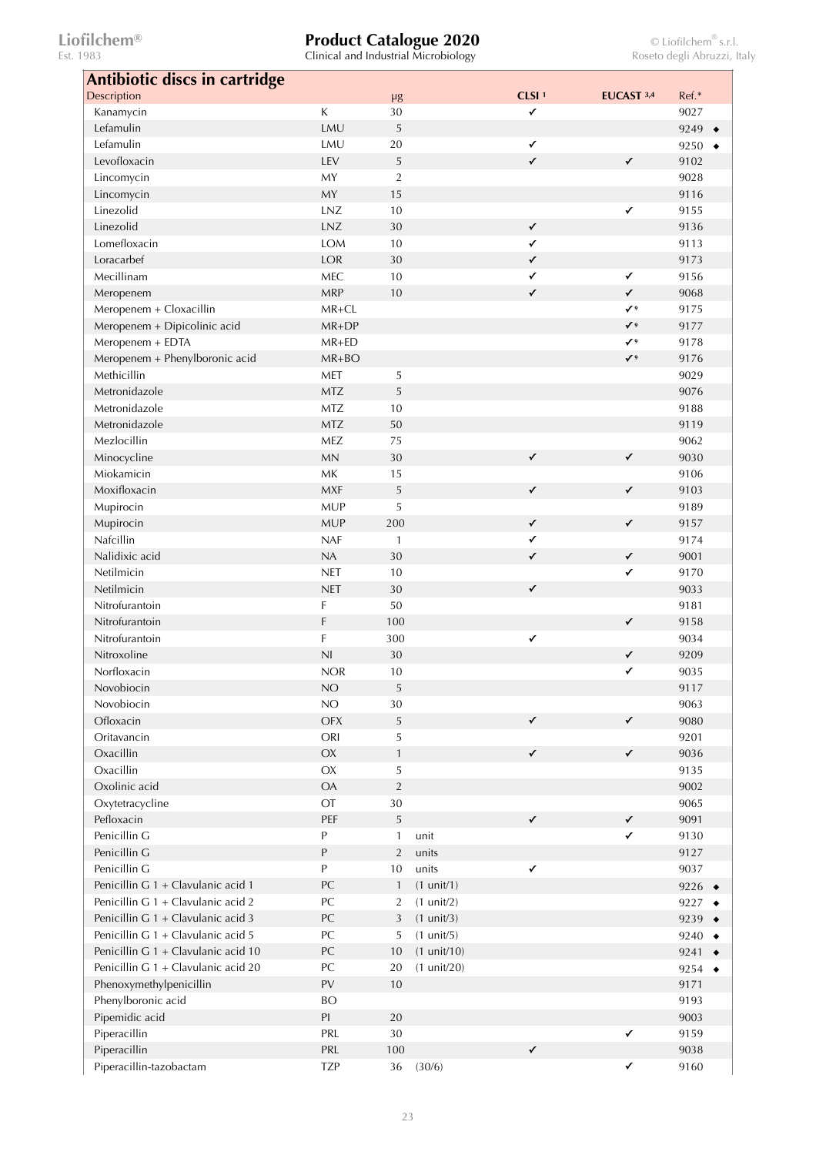| Antibiotic discs in cartridge       |                                                                    |                |                       |                   |              |                    |
|-------------------------------------|--------------------------------------------------------------------|----------------|-----------------------|-------------------|--------------|--------------------|
| Description                         |                                                                    | $\mu$ g        |                       | CLSI <sup>1</sup> | EUCAST 3,4   | Ref.*              |
| Kanamycin                           | К                                                                  | 30             |                       | ✓                 |              | 9027               |
| Lefamulin                           | LMU                                                                | 5              |                       |                   |              | 9249               |
| Lefamulin                           | LMU                                                                | 20             |                       | $\checkmark$      |              | 9250               |
| Levofloxacin                        | LEV                                                                | 5              |                       | $\checkmark$      | $\checkmark$ | 9102               |
| Lincomycin                          | MY                                                                 | $\overline{2}$ |                       |                   |              | 9028               |
| Lincomycin                          | MY                                                                 | 15             |                       |                   |              | 9116               |
| Linezolid                           | LNZ                                                                | 10             |                       |                   | $\checkmark$ | 9155               |
| Linezolid                           | LNZ                                                                | 30             |                       | $\checkmark$      |              | 9136               |
| Lomefloxacin                        | <b>LOM</b>                                                         | 10             |                       | ✓                 |              | 9113               |
| Loracarbef                          | LOR                                                                | 30             |                       | $\checkmark$      |              | 9173               |
| Mecillinam                          | MEC                                                                | 10             |                       | $\checkmark$      | $\checkmark$ | 9156               |
| Meropenem                           | <b>MRP</b>                                                         | 10             |                       | $\checkmark$      | $\checkmark$ | 9068               |
| Meropenem + Cloxacillin             | MR+CL                                                              |                |                       |                   | $\checkmark$ | 9175               |
| Meropenem + Dipicolinic acid        | MR+DP                                                              |                |                       |                   | $\checkmark$ | 9177               |
| Meropenem + EDTA                    | $MR+ED$                                                            |                |                       |                   | $\checkmark$ | 9178               |
| Meropenem + Phenylboronic acid      | MR+BO                                                              |                |                       |                   | $\checkmark$ | 9176               |
| Methicillin                         | MET                                                                | 5              |                       |                   |              | 9029               |
| Metronidazole                       | <b>MTZ</b>                                                         | 5              |                       |                   |              | 9076               |
| Metronidazole                       | <b>MTZ</b>                                                         | 10             |                       |                   |              | 9188               |
| Metronidazole                       | <b>MTZ</b>                                                         | 50             |                       |                   |              | 9119               |
| Mezlocillin                         | MEZ                                                                | 75             |                       |                   |              | 9062               |
|                                     | <b>MN</b>                                                          | 30             |                       | $\checkmark$      | $\checkmark$ | 9030               |
| Minocycline<br>Miokamicin           | MK                                                                 |                |                       |                   |              | 9106               |
|                                     |                                                                    | 15             |                       |                   |              |                    |
| Moxifloxacin                        | <b>MXF</b>                                                         | 5              |                       | $\checkmark$      | $\checkmark$ | 9103               |
| Mupirocin                           | <b>MUP</b>                                                         | 5              |                       |                   |              | 9189               |
| Mupirocin                           | <b>MUP</b>                                                         | 200            |                       | $\checkmark$      | $\checkmark$ | 9157               |
| Nafcillin                           | <b>NAF</b>                                                         | $\mathbf{1}$   |                       | $\checkmark$      |              | 9174               |
| Nalidixic acid                      | NA                                                                 | 30             |                       | $\checkmark$      | $\checkmark$ | 9001               |
| Netilmicin                          | <b>NET</b>                                                         | 10             |                       |                   | $\checkmark$ | 9170               |
| Netilmicin                          | <b>NET</b>                                                         | 30             |                       | $\checkmark$      |              | 9033               |
| Nitrofurantoin                      | F                                                                  | 50             |                       |                   |              | 9181               |
| Nitrofurantoin                      | F                                                                  | 100            |                       |                   | $\checkmark$ | 9158               |
| Nitrofurantoin                      | F                                                                  | 300            |                       | $\checkmark$      |              | 9034               |
| Nitroxoline                         | N <sub>l</sub>                                                     | 30             |                       |                   | $\checkmark$ | 9209               |
| Norfloxacin                         | <b>NOR</b>                                                         | 10             |                       |                   | ✓            | 9035               |
| Novobiocin                          | $NO$                                                               | 5              |                       |                   |              | 9117               |
| Novobiocin                          | NO                                                                 | 30             |                       |                   |              | 9063               |
| Ofloxacin                           | OFX                                                                | 5              |                       | $\checkmark$      | $\checkmark$ | 9080               |
| Oritavancin                         | ORI                                                                | 5              |                       |                   |              | 9201               |
| Oxacillin                           | $\mathsf{OX}$                                                      | $\mathbf{1}$   |                       | $\checkmark$      | $\checkmark$ | 9036               |
| Oxacillin                           | $\mathsf{OX}$                                                      | 5              |                       |                   |              | 9135               |
| Oxolinic acid                       | <b>OA</b>                                                          | $\sqrt{2}$     |                       |                   |              | 9002               |
| Oxytetracycline                     | OT                                                                 | $30\,$         |                       |                   |              | 9065               |
| Pefloxacin                          | PEF                                                                | $\sqrt{5}$     |                       | $\checkmark$      | $\checkmark$ | 9091               |
| Penicillin G                        | P                                                                  | $\mathbf{1}$   | unit                  |                   | $\checkmark$ | 9130               |
| Penicillin G                        | P                                                                  | 2              | units                 |                   |              | 9127               |
| Penicillin G                        | $\mathsf{P}% _{T}=\mathsf{P}_{T}\!\left( \mathcal{A}_{T}\right) ,$ | 10             | units                 | $\checkmark$      |              | 9037               |
| Penicillin G 1 + Clavulanic acid 1  | PC                                                                 | $\mathbf{1}$   | $(1 \text{ unit}/1)$  |                   |              | 9226 $\rightarrow$ |
| Penicillin G 1 + Clavulanic acid 2  | PC                                                                 | $\overline{2}$ | $(1 \text{ unit}/2)$  |                   |              | 9227 $\rightarrow$ |
| Penicillin G 1 + Clavulanic acid 3  | PC                                                                 | 3              | $(1 \text{ unit}/3)$  |                   |              | 9239 $\rightarrow$ |
| Penicillin G 1 + Clavulanic acid 5  | PC                                                                 | 5              | $(1 \text{ unit}/5)$  |                   |              | 9240 $\bullet$     |
| Penicillin G 1 + Clavulanic acid 10 | PC                                                                 | 10             | $(1 \text{ unit}/10)$ |                   |              | 9241 $\bullet$     |
| Penicillin G 1 + Clavulanic acid 20 | PC                                                                 | 20             | $(1 \text{ unit}/20)$ |                   |              | 9254 $\rightarrow$ |
| Phenoxymethylpenicillin             | PV                                                                 | 10             |                       |                   |              | 9171               |
| Phenylboronic acid                  | <b>BO</b>                                                          |                |                       |                   |              | 9193               |
| Pipemidic acid                      | PI                                                                 | 20             |                       |                   |              | 9003               |
| Piperacillin                        | PRL                                                                | $30\,$         |                       |                   | $\checkmark$ | 9159               |
| Piperacillin                        | PRL                                                                | 100            |                       | $\checkmark$      |              | 9038               |
|                                     | <b>TZP</b>                                                         | 36             | (30/6)                |                   | $\checkmark$ | 9160               |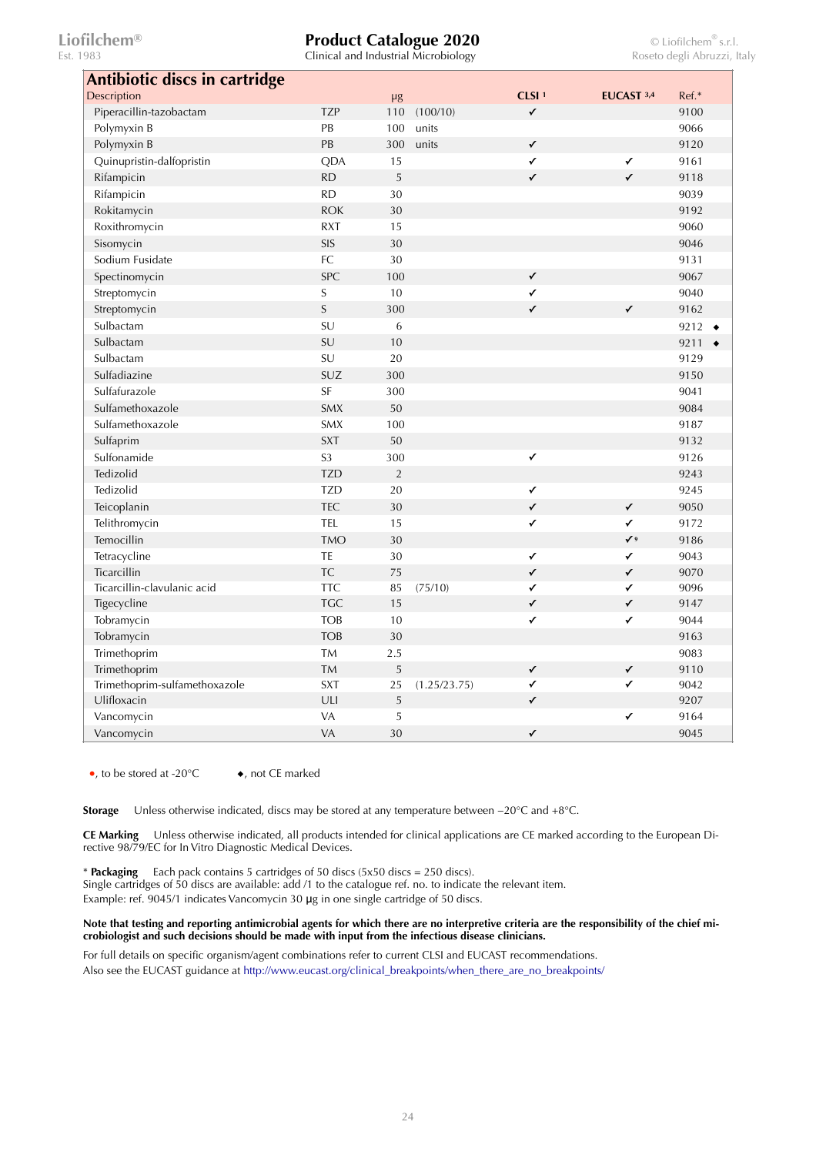Clinical and Industrial Microbiology

| Antibiotic discs in cartridge |                |                |              |                   |              |                   |
|-------------------------------|----------------|----------------|--------------|-------------------|--------------|-------------------|
| Description                   |                | μg             |              | CLSI <sup>1</sup> | EUCAST 3,4   | Ref.*             |
| Piperacillin-tazobactam       | <b>TZP</b>     | 110            | (100/10)     | ✓                 |              | 9100              |
| Polymyxin B                   | PB             | 100            | units        |                   |              | 9066              |
| Polymyxin B                   | PB             | 300            | units        | ✓                 |              | 9120              |
| Quinupristin-dalfopristin     | QDA            | 15             |              | ✓                 | $\checkmark$ | 9161              |
| Rifampicin                    | RD             | 5              |              | $\checkmark$      | $\checkmark$ | 9118              |
| Rifampicin                    | RD             | 30             |              |                   |              | 9039              |
| Rokitamycin                   | <b>ROK</b>     | 30             |              |                   |              | 9192              |
| Roxithromycin                 | <b>RXT</b>     | 15             |              |                   |              | 9060              |
| Sisomycin                     | SIS            | 30             |              |                   |              | 9046              |
| Sodium Fusidate               | FC             | 30             |              |                   |              | 9131              |
| Spectinomycin                 | <b>SPC</b>     | 100            |              | $\checkmark$      |              | 9067              |
| Streptomycin                  | $\mathsf S$    | 10             |              | $\checkmark$      |              | 9040              |
| Streptomycin                  | $\mathsf S$    | 300            |              | ✓                 | $\checkmark$ | 9162              |
| Sulbactam                     | SU             | 6              |              |                   |              | 9212<br>$\bullet$ |
| Sulbactam                     | SU             | 10             |              |                   |              | 9211<br>$\bullet$ |
| Sulbactam                     | SU             | 20             |              |                   |              | 9129              |
| Sulfadiazine                  | SUZ            | 300            |              |                   |              | 9150              |
| Sulfafurazole                 | SF             | 300            |              |                   |              | 9041              |
| Sulfamethoxazole              | <b>SMX</b>     | 50             |              |                   |              | 9084              |
| Sulfamethoxazole              | <b>SMX</b>     | 100            |              |                   |              | 9187              |
| Sulfaprim                     | <b>SXT</b>     | 50             |              |                   |              | 9132              |
| Sulfonamide                   | S <sub>3</sub> | 300            |              | ✓                 |              | 9126              |
| Tedizolid                     | <b>TZD</b>     | $\overline{2}$ |              |                   |              | 9243              |
| Tedizolid                     | <b>TZD</b>     | 20             |              | ✓                 |              | 9245              |
| Teicoplanin                   | <b>TEC</b>     | 30             |              | ✓                 | $\checkmark$ | 9050              |
| Telithromycin                 | TEL            | 15             |              | ✓                 | $\checkmark$ | 9172              |
| Temocillin                    | <b>TMO</b>     | 30             |              |                   | $\checkmark$ | 9186              |
| Tetracycline                  | TE             | 30             |              | ✓                 | $\checkmark$ | 9043              |
| Ticarcillin                   | <b>TC</b>      | 75             |              | $\checkmark$      | $\checkmark$ | 9070              |
| Ticarcillin-clavulanic acid   | <b>TTC</b>     | 85             | (75/10)      | ✓                 | $\checkmark$ | 9096              |
| Tigecycline                   | <b>TGC</b>     | 15             |              | ✓                 | $\checkmark$ | 9147              |
| Tobramycin                    | <b>TOB</b>     | 10             |              | $\checkmark$      | $\checkmark$ | 9044              |
| Tobramycin                    | <b>TOB</b>     | 30             |              |                   |              | 9163              |
| Trimethoprim                  | <b>TM</b>      | 2.5            |              |                   |              | 9083              |
| Trimethoprim                  | <b>TM</b>      | 5              |              | ✓                 | $\checkmark$ | 9110              |
| Trimethoprim-sulfamethoxazole | <b>SXT</b>     | 25             | (1.25/23.75) | ✓                 | $\checkmark$ | 9042              |
| Ulifloxacin                   | ULI            | $\mathsf S$    |              | $\checkmark$      |              | 9207              |
| Vancomycin                    | VA             | 5              |              |                   | $\checkmark$ | 9164              |
| Vancomycin                    | VA             | 30             |              | $\checkmark$      |              | 9045              |

●, to be stored at -20°C ◆, not CE marked

**Storage** Unless otherwise indicated, discs may be stored at any temperature between −20°C and +8°C.

**CE Marking** Unless otherwise indicated, all products intended for clinical applications are CE marked according to the European Directive 98/79/EC for In Vitro Diagnostic Medical Devices.

\* **Packaging** Each pack contains 5 cartridges of 50 discs (5x50 discs = 250 discs).

Single cartridges of 50 discs are available: add /1 to the catalogue ref. no. to indicate the relevant item.

Example: ref. 9045/1 indicates Vancomycin 30 μg in one single cartridge of 50 discs.

**Note that testing and reporting antimicrobial agents for which there are no interpretive criteria are the responsibility of the chief microbiologist and such decisions should be made with input from the infectious disease clinicians.** 

For full details on specific organism/agent combinations refer to current CLSI and EUCAST recommendations. Also see the EUCAST guidance at [http://www.eucast.org/clinical\\_breakpoints/when\\_there\\_are\\_no\\_breakpoints/](http://www.eucast.org/clinical_breakpoints/when_there_are_no_breakpoints/)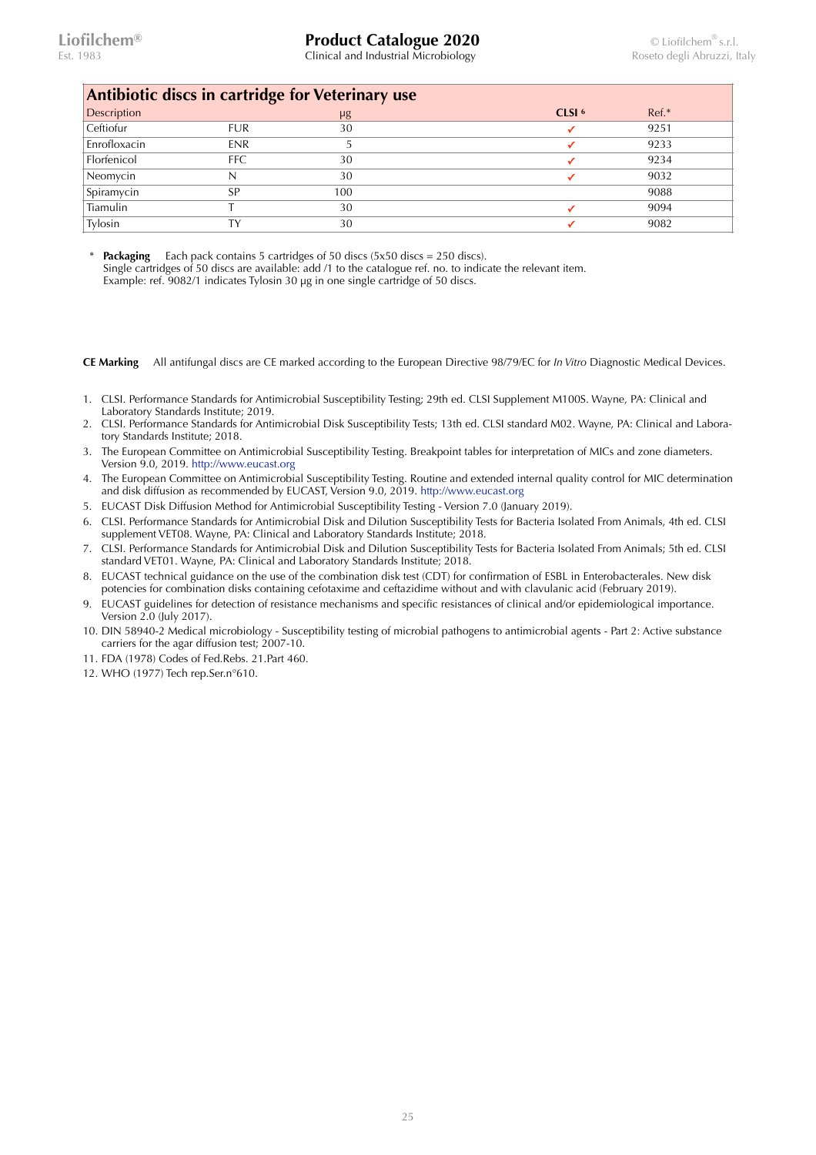Clinical and Industrial Microbiology **Clinical and Industrial Microbiology** Roseto degli Abruzzi, Italy

| Antibiotic discs in cartridge for Veterinary use |            |     |                   |         |  |  |  |  |
|--------------------------------------------------|------------|-----|-------------------|---------|--|--|--|--|
| Description                                      |            | μg  | CLSI <sup>6</sup> | $Ref.*$ |  |  |  |  |
| Ceftiofur                                        | <b>FUR</b> | 30  |                   | 9251    |  |  |  |  |
| Enrofloxacin                                     | <b>ENR</b> |     |                   | 9233    |  |  |  |  |
| Florfenicol                                      | <b>FFC</b> | 30  |                   | 9234    |  |  |  |  |
| Neomycin                                         |            | 30  |                   | 9032    |  |  |  |  |
| Spiramycin                                       | SP         | 100 |                   | 9088    |  |  |  |  |
| Tiamulin                                         |            | 30  |                   | 9094    |  |  |  |  |
| Tylosin                                          | TΥ         | 30  |                   | 9082    |  |  |  |  |

**Packaging** Each pack contains 5 cartridges of 50 discs (5x50 discs = 250 discs). Single cartridges of 50 discs are available: add /1 to the catalogue ref. no. to indicate the relevant item. Example: ref. 9082/1 indicates Tylosin 30 µg in one single cartridge of 50 discs.

**CE Marking** All antifungal discs are CE marked according to the European Directive 98/79/EC for *In Vitro* Diagnostic Medical Devices.

- 1. CLSI. Performance Standards for Antimicrobial Susceptibility Testing; 29th ed. CLSI Supplement M100S. Wayne, PA: Clinical and Laboratory Standards Institute; 2019.
- 2. CLSI. Performance Standards for Antimicrobial Disk Susceptibility Tests; 13th ed. CLSI standard M02. Wayne, PA: Clinical and Laboratory Standards Institute; 2018.
- 3. The European Committee on Antimicrobial Susceptibility Testing. Breakpoint tables for interpretation of MICs and zone diameters. Version 9.0, 2019. <http://www.eucast.org>
- 4. The European Committee on Antimicrobial Susceptibility Testing. Routine and extended internal quality control for MIC determination and disk diffusion as recommended by EUCAST, Version 9.0, 2019. <http://www.eucast.org>
- 5. EUCAST Disk Diffusion Method for Antimicrobial Susceptibility Testing Version 7.0 (January 2019).
- 6. CLSI. Performance Standards for Antimicrobial Disk and Dilution Susceptibility Tests for Bacteria Isolated From Animals, 4th ed. CLSI supplement VET08. Wayne, PA: Clinical and Laboratory Standards Institute; 2018.
- 7. CLSI. Performance Standards for Antimicrobial Disk and Dilution Susceptibility Tests for Bacteria Isolated From Animals; 5th ed. CLSI standard VET01. Wayne, PA: Clinical and Laboratory Standards Institute; 2018.
- 8. EUCAST technical guidance on the use of the combination disk test (CDT) for confirmation of ESBL in Enterobacterales. New disk potencies for combination disks containing cefotaxime and ceftazidime without and with clavulanic acid (February 2019).
- 9. EUCAST guidelines for detection of resistance mechanisms and specific resistances of clinical and/or epidemiological importance. Version 2.0 (July 2017).
- 10. DIN 58940-2 Medical microbiology Susceptibility testing of microbial pathogens to antimicrobial agents Part 2: Active substance carriers for the agar diffusion test; 2007-10.
- 11. FDA (1978) Codes of Fed.Rebs. 21.Part 460.
- 12. WHO (1977) Tech rep.Ser.n°610.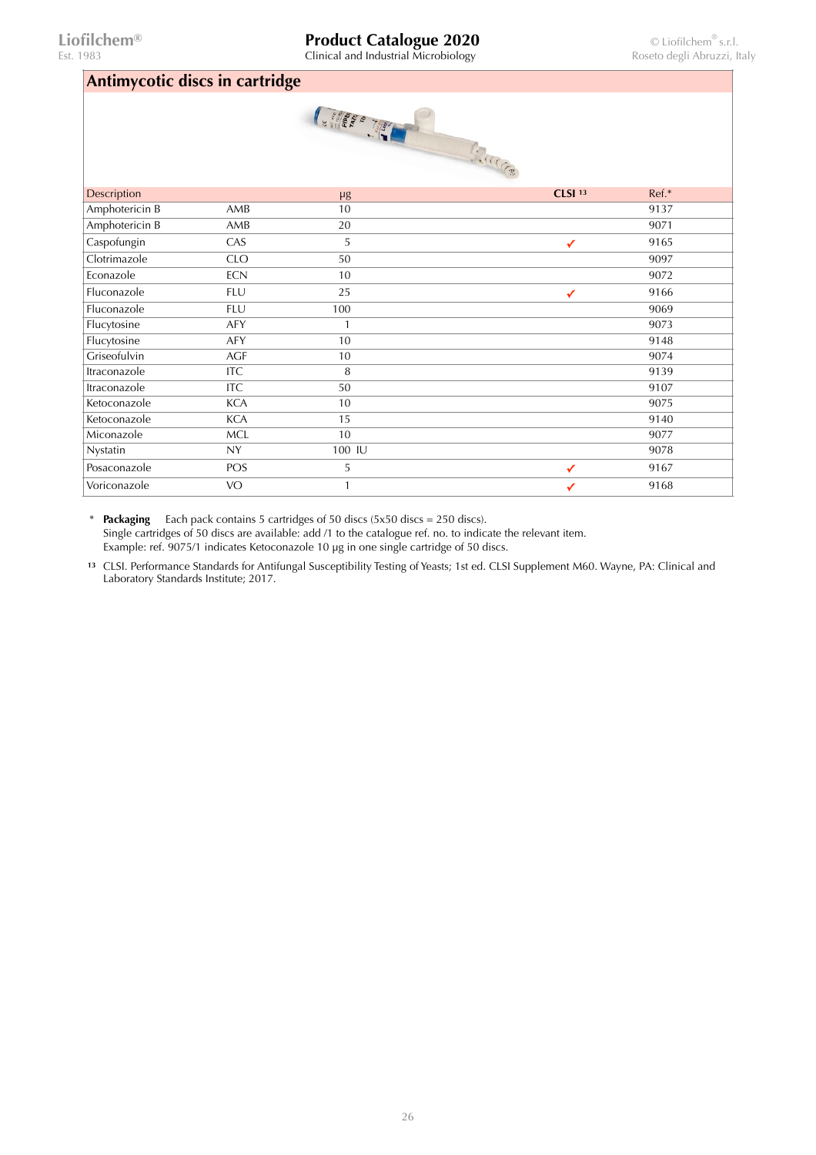# **Liofilchem® Product Catalogue 2020** © Liofilchem® s.r.l.<br>
Est. 1983 **Clinical and Industrial Microbiology** Roseto degli Abruzzi, Italy

Clinical and Industrial Microbiology

### **Antimycotic discs in cartridge**

| $\prime$       |            | U<br><b>CELERATE</b> | FOR THE CONTROLLER |       |
|----------------|------------|----------------------|--------------------|-------|
| Description    |            | $\mu$ g              | CLSI <sup>13</sup> | Ref.* |
| Amphotericin B | AMB        | 10                   |                    | 9137  |
| Amphotericin B | AMB        | 20                   |                    | 9071  |
| Caspofungin    | CAS        | 5                    | $\checkmark$       | 9165  |
| Clotrimazole   | <b>CLO</b> | 50                   |                    | 9097  |
| Econazole      | <b>ECN</b> | 10                   |                    | 9072  |
| Fluconazole    | <b>FLU</b> | 25                   | ✓                  | 9166  |
| Fluconazole    | <b>FLU</b> | 100                  |                    | 9069  |
| Flucytosine    | AFY        | 1                    |                    | 9073  |
| Flucytosine    | <b>AFY</b> | 10                   |                    | 9148  |
| Griseofulvin   | <b>AGF</b> | 10                   |                    | 9074  |
| Itraconazole   | <b>ITC</b> | 8                    |                    | 9139  |
| Itraconazole   | <b>ITC</b> | 50                   |                    | 9107  |
| Ketoconazole   | <b>KCA</b> | $10\,$               |                    | 9075  |
| Ketoconazole   | <b>KCA</b> | 15                   |                    | 9140  |
| Miconazole     | <b>MCL</b> | 10                   |                    | 9077  |
| Nystatin       | <b>NY</b>  | 100 IU               |                    | 9078  |
| Posaconazole   | POS        | 5                    | ✓                  | 9167  |
| Voriconazole   | <b>VO</b>  | 1                    | ✓                  | 9168  |

\* **Packaging** Each pack contains 5 cartridges of 50 discs (5x50 discs = 250 discs). Single cartridges of 50 discs are available: add /1 to the catalogue ref. no. to indicate the relevant item. Example: ref. 9075/1 indicates Ketoconazole 10 µg in one single cartridge of 50 discs.

**<sup>13</sup>** CLSI. Performance Standards for Antifungal Susceptibility Testing of Yeasts; 1st ed. CLSI Supplement M60. Wayne, PA: Clinical and Laboratory Standards Institute; 2017.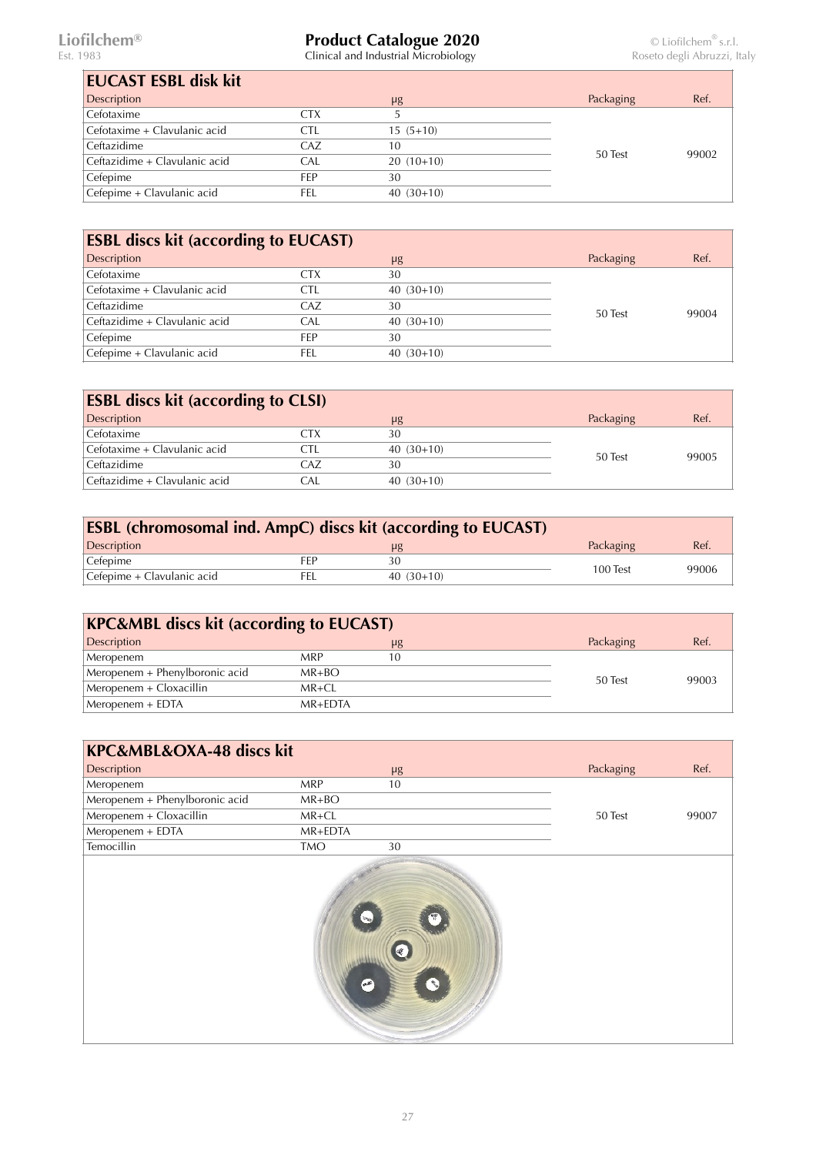$\bar{\Gamma}$ 

### **Liofilchem® Product Catalogue 2020** © Liofilchem® s.r.l.

| <b>EUCAST ESBL disk kit</b>   |     |             |           |       |
|-------------------------------|-----|-------------|-----------|-------|
| Description                   |     | $\mu$ g     | Packaging | Ref.  |
| Cefotaxime                    | CTX |             |           |       |
| Cefotaxime + Clavulanic acid  | CTL | $15(5+10)$  |           |       |
| Ceftazidime                   | CAZ | 10          | 50 Test   | 99002 |
| Ceftazidime + Clavulanic acid | CAL | $20(10+10)$ |           |       |
| Cefepime                      | FFP | 30          |           |       |
| Cefepime + Clavulanic acid    | FEL | $40(30+10)$ |           |       |

| <b>ESBL discs kit (according to EUCAST)</b> |            |             |           |       |
|---------------------------------------------|------------|-------------|-----------|-------|
| Description                                 |            | $\mu$ g     | Packaging | Ref.  |
| Cefotaxime                                  | CTX        | 30          |           |       |
| Cefotaxime + Clavulanic acid                | CTL        | $40(30+10)$ |           | 99004 |
| Ceftazidime                                 | CAZ        | 30          | 50 Test   |       |
| Ceftazidime + Clavulanic acid               | CAL.       | $40(30+10)$ |           |       |
| Cefepime                                    | <b>FFP</b> | 30          |           |       |
| Cefepime + Clavulanic acid                  | FEL        | $40(30+10)$ |           |       |

| <b>ESBL discs kit (according to CLSI)</b> |     |             |           |       |
|-------------------------------------------|-----|-------------|-----------|-------|
| Description                               |     | $\mu$ g     | Packaging | Ref.  |
| Cefotaxime                                | CTX | 30          |           |       |
| Cefotaxime + Clavulanic acid              | CTI | $40(30+10)$ | 50 Test   | 99005 |
| Ceftazidime                               | CAZ | 30          |           |       |
| Ceftazidime + Clavulanic acid             | CAL | $40(30+10)$ |           |       |

| <b>ESBL (chromosomal ind. AmpC) discs kit (according to EUCAST)</b> |     |             |           |       |  |
|---------------------------------------------------------------------|-----|-------------|-----------|-------|--|
| <b>Description</b>                                                  |     | μg          | Packaging | Ref.  |  |
| Cefepime                                                            | FFP |             | 100 Test  | 99006 |  |
| Cefepime + Clavulanic acid                                          | FEL | $40(30+10)$ |           |       |  |

| <b>KPC&amp;MBL discs kit (according to EUCAST)</b> |             |         |           |       |
|----------------------------------------------------|-------------|---------|-----------|-------|
| Description                                        |             | $\mu$ g | Packaging | Ref.  |
| Meropenem                                          | <b>MRP</b>  | 10      |           |       |
| Meropenem + Phenylboronic acid                     | $MR+BO$     |         |           | 99003 |
| Meropenem + Cloxacillin                            | $MR + CL$   |         | 50 Test   |       |
| Meropenem + EDTA                                   | $MR + FDTA$ |         |           |       |

| KPC&MBL&OXA-48 discs kit       |            |         |           |       |
|--------------------------------|------------|---------|-----------|-------|
| Description                    |            | $\mu$ g | Packaging | Ref.  |
| Meropenem                      | <b>MRP</b> | 10      |           |       |
| Meropenem + Phenylboronic acid | $MR+BO$    |         |           |       |
| Meropenem + Cloxacillin        | MR+CL      |         | 50 Test   | 99007 |
| $Meropenem + EDTA$             | MR+EDTA    |         |           |       |
| Temocillin                     | <b>TMO</b> | 30      |           |       |
|                                | .se        |         |           |       |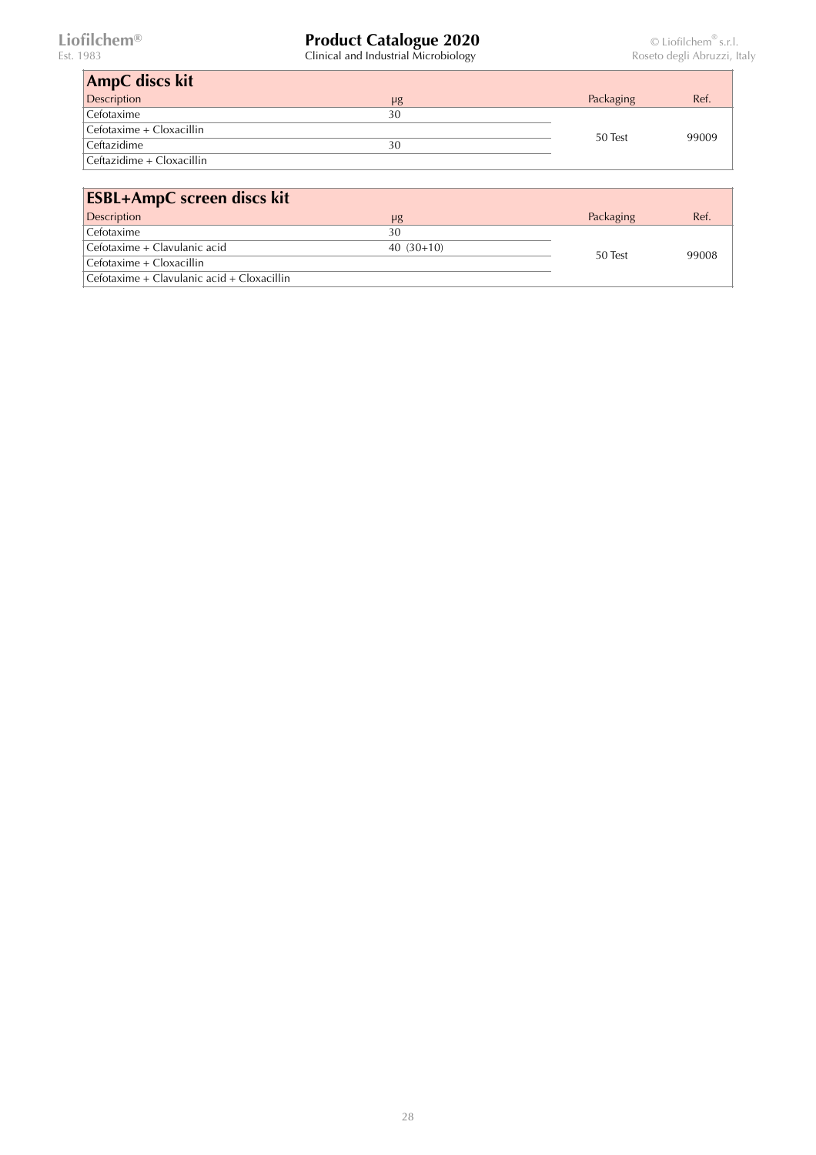| <b>AmpC</b> discs kit     |         |           |       |
|---------------------------|---------|-----------|-------|
| <b>Description</b>        | $\mu$ g | Packaging | Ref.  |
| Cefotaxime                | 30      |           |       |
| Cefotaxime + Cloxacillin  |         | 50 Test   | 99009 |
| Ceftazidime               | 30      |           |       |
| Ceftazidime + Cloxacillin |         |           |       |

| <b>ESBL+AmpC</b> screen discs kit          |             |           |       |
|--------------------------------------------|-------------|-----------|-------|
| Description                                | $\mu$ g     | Packaging | Ref.  |
| Cefotaxime                                 | 30          |           |       |
| Cefotaxime + Clavulanic acid               | $40(30+10)$ | 50 Test   | 99008 |
| $Cefotaxime + Cloxacillin$                 |             |           |       |
| Cefotaxime + Clavulanic acid + Cloxacillin |             |           |       |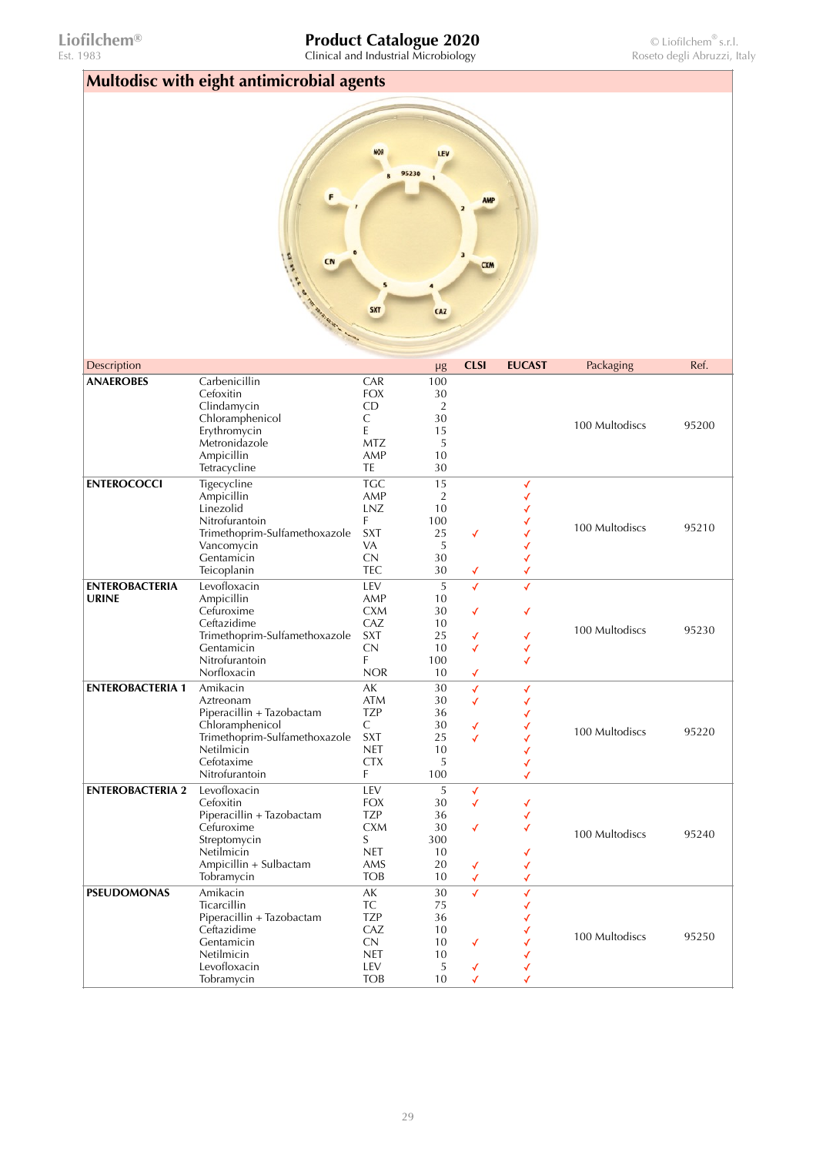Est. 1983 Clinical and Industrial Microbiology Roseto degli Abruzzi, Italy

| Multodisc with eight antimicrobial agents |                                                                                                                                                      |                                                                                          |                                                                     |                                  |                       |                |       |
|-------------------------------------------|------------------------------------------------------------------------------------------------------------------------------------------------------|------------------------------------------------------------------------------------------|---------------------------------------------------------------------|----------------------------------|-----------------------|----------------|-------|
|                                           | F<br><b>ANN</b><br>CN                                                                                                                                | 5<br><b>SXT</b>                                                                          | LEV<br>95230<br>CAZ                                                 | <b>AMP</b><br>3<br><b>CXM</b>    |                       |                |       |
| Description                               |                                                                                                                                                      |                                                                                          |                                                                     | <b>CLSI</b>                      | <b>EUCAST</b>         | Packaging      | Ref.  |
| <b>ANAEROBES</b>                          | Carbenicillin<br>Cefoxitin<br>Clindamycin<br>Chloramphenicol<br>Erythromycin<br>Metronidazole<br>Ampicillin<br>Tetracycline                          | CAR<br><b>FOX</b><br>CD.<br>C<br>E<br><b>MTZ</b><br>AMP<br>TE                            | $\mu$ g<br>100<br>30<br>$\overline{2}$<br>30<br>15<br>5<br>10<br>30 |                                  |                       | 100 Multodiscs | 95200 |
| <b>ENTEROCOCCI</b>                        | Tigecycline<br>Ampicillin<br>Linezolid<br>Nitrofurantoin<br>Trimethoprim-Sulfamethoxazole<br>Vancomycin<br>Gentamicin<br>Teicoplanin                 | <b>TGC</b><br>AMP<br>LNZ<br>F<br><b>SXT</b><br>VA<br>CN<br><b>TEC</b>                    | 15<br>$\overline{2}$<br>10<br>100<br>25<br>5<br>30<br>30            | √<br>✓                           | √<br>✓                | 100 Multodiscs | 95210 |
| <b>ENTEROBACTERIA</b><br><b>URINE</b>     | Levofloxacin<br>Ampicillin<br>Cefuroxime<br>Ceftazidime<br>Trimethoprim-Sulfamethoxazole<br>Gentamicin<br>Nitrofurantoin<br>Norfloxacin              | LEV<br>AMP<br><b>CXM</b><br>CAZ<br><b>SXT</b><br>CN<br>F<br><b>NOR</b>                   | 5<br>10<br>30<br>10<br>25<br>10<br>100<br>10                        | ✓<br>√<br>✓<br>✓<br>✓            | ✓<br>✓<br>✓<br>√<br>√ | 100 Multodiscs | 95230 |
| <b>ENTEROBACTERIA 1</b>                   | Amikacin<br>Aztreonam<br>Piperacillin + Tazobactam<br>Chloramphenicol<br>Trimethoprim-Sulfamethoxazole<br>Netilmicin<br>Cefotaxime<br>Nitrofurantoin | AK<br><b>ATM</b><br><b>TZP</b><br>С<br><b>SXT</b><br><b>NET</b><br><b>CTX</b><br>F       | 30<br>30<br>36<br>30<br>25<br>10<br>5<br>100                        | √<br>✓<br>√<br>✓                 | √<br>√<br>✓           | 100 Multodiscs | 95220 |
| <b>ENTEROBACTERIA 2</b>                   | Levofloxacin<br>Cefoxitin<br>Piperacillin + Tazobactam<br>Cefuroxime<br>Streptomycin<br>Netilmicin<br>Ampicillin + Sulbactam<br>Tobramycin           | LEV<br><b>FOX</b><br><b>TZP</b><br><b>CXM</b><br>S<br><b>NET</b><br>AMS<br><b>TOB</b>    | 5<br>30<br>36<br>30<br>300<br>10<br>20<br>10                        | $\checkmark$<br>✓<br>✓<br>√<br>√ | ✓<br>✓                | 100 Multodiscs | 95240 |
| <b>PSEUDOMONAS</b>                        | Amikacin<br>Ticarcillin<br>Piperacillin + Tazobactam<br>Ceftazidime<br>Gentamicin<br>Netilmicin<br>Levofloxacin<br>Tobramycin                        | $\mathsf{AK}$<br><b>TC</b><br><b>TZP</b><br>CAZ<br>CN<br><b>NET</b><br>LEV<br><b>TOB</b> | 30<br>75<br>36<br>10<br>10<br>10<br>5<br>10                         | ✓<br>√<br>✓<br>√                 | ✓                     | 100 Multodiscs | 95250 |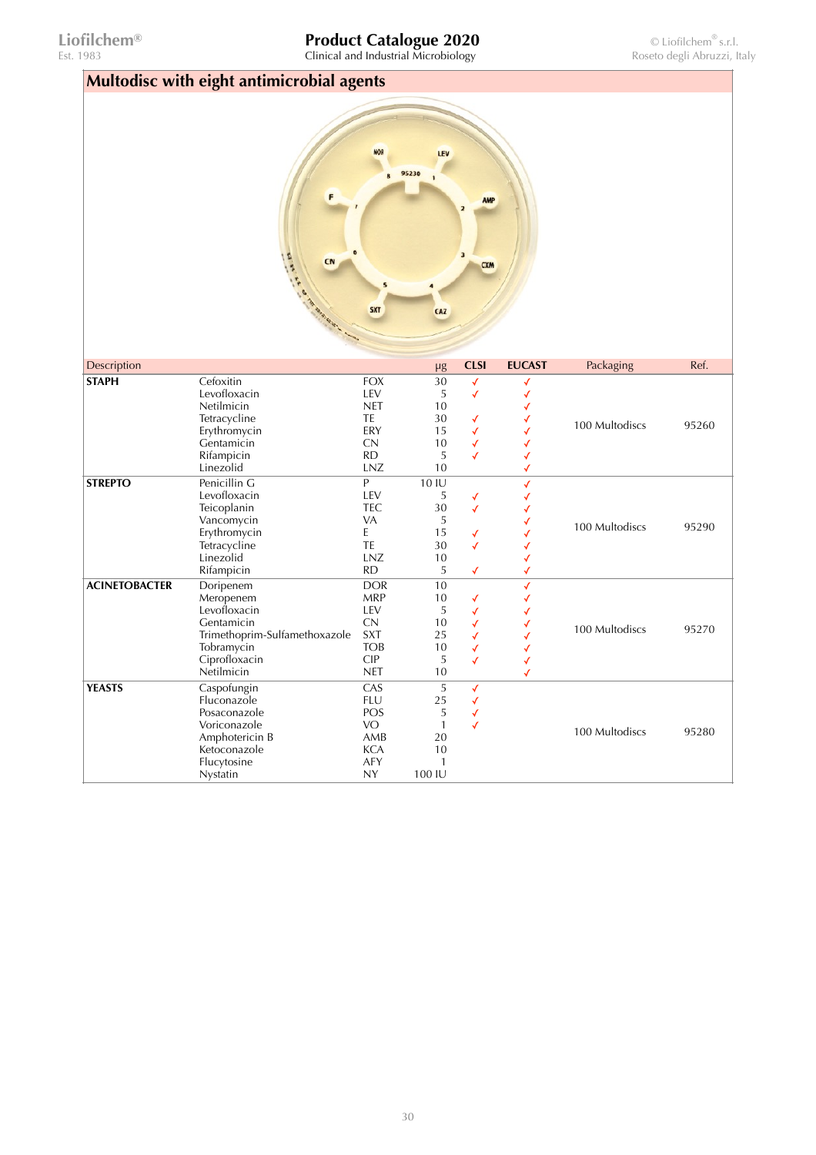Est. 1983 Clinical and Industrial Microbiology Roseto degli Abruzzi, Italy

| Multodisc with eight antimicrobial agents |                                                                                                                                    |                                                                                               |                                                                    |                                                  |                                                 |                |       |
|-------------------------------------------|------------------------------------------------------------------------------------------------------------------------------------|-----------------------------------------------------------------------------------------------|--------------------------------------------------------------------|--------------------------------------------------|-------------------------------------------------|----------------|-------|
|                                           | Artica R.<br>CN                                                                                                                    | <b>NOR</b><br>$\overline{\mathbf{S}}$<br><b>SXT</b>                                           | LEV<br>95230<br>CAZ                                                | <b>AMP</b><br><b>CXM</b>                         |                                                 |                |       |
| Description                               |                                                                                                                                    |                                                                                               | μg                                                                 | <b>CLSI</b>                                      | <b>EUCAST</b>                                   | Packaging      | Ref.  |
| <b>STAPH</b><br><b>STREPTO</b>            | Cefoxitin<br>Levofloxacin<br>Netilmicin<br>Tetracycline<br>Erythromycin<br>Gentamicin<br>Rifampicin<br>Linezolid<br>Penicillin G   | <b>FOX</b><br>LEV<br><b>NET</b><br>TE<br>ERY<br>CN<br><b>RD</b><br>LNZ<br>$\mathsf{P}$        | 30<br>5<br>10<br>30<br>15<br>10<br>5<br>10<br>10 IU                | $\checkmark$<br>$\checkmark$<br>√<br>√<br>√<br>√ | √<br>✓<br>✓<br>✓<br>✓<br>✓<br>✓<br>$\checkmark$ | 100 Multodiscs | 95260 |
|                                           | Levofloxacin<br>Teicoplanin<br>Vancomycin<br>Erythromycin<br>Tetracycline<br>Linezolid<br>Rifampicin                               | LEV<br><b>TEC</b><br>VA<br>E<br>TE<br>LNZ<br><b>RD</b>                                        | 5<br>30<br>5<br>15<br>30<br>10<br>5                                | √<br>✓<br>√<br>✓<br>√                            | √<br>√<br>✓<br>√<br>√                           | 100 Multodiscs | 95290 |
| <b>ACINETOBACTER</b>                      | Doripenem<br>Meropenem<br>Levofloxacin<br>Gentamicin<br>Trimethoprim-Sulfamethoxazole<br>Tobramycin<br>Ciprofloxacin<br>Netilmicin | <b>DOR</b><br><b>MRP</b><br>LEV<br>CN<br><b>SXT</b><br><b>TOB</b><br><b>CIP</b><br><b>NET</b> | 10<br>10<br>5<br>10<br>25<br>10<br>5<br>10                         | √<br>√<br>√<br>√<br>√<br>√                       | ✓<br>✓<br>✓<br>✓<br>✓<br>✓<br>√<br>√            | 100 Multodiscs | 95270 |
| <b>YEASTS</b>                             | Caspofungin<br>Fluconazole<br>Posaconazole<br>Voriconazole<br>Amphotericin B<br>Ketoconazole<br>Flucytosine<br>Nystatin            | CAS<br><b>FLU</b><br>POS<br>VO<br>AMB<br><b>KCA</b><br>AFY<br><b>NY</b>                       | 5<br>25<br>5<br>$\mathbf{1}$<br>20<br>10<br>$\mathbf{1}$<br>100 IU | $\checkmark$<br>✓<br>√<br>√                      |                                                 | 100 Multodiscs | 95280 |